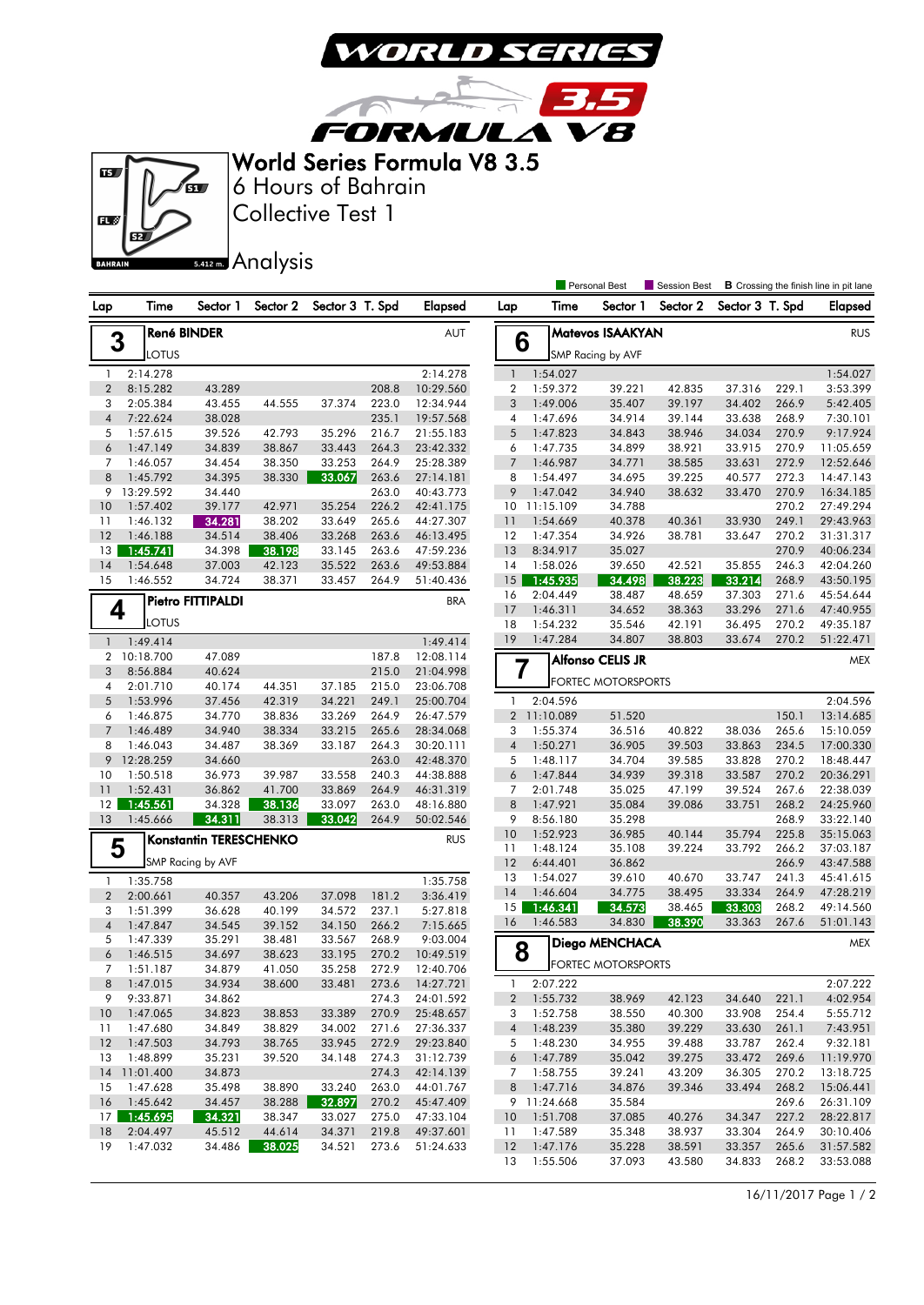

3.5

**FORMULA VB** World Series Formula V8 3.5

 $\overline{R}$ 



Collective Test 1 6 Hours of Bahrain

 18 2:04.497 45.512 44.614 34.371 219.8 49:37.601 19 1:47.032 34.486 38.025 34.521 273.6 51:24.633

Analysis **B** Crossing the finish line in pit lane Lap Time Sector 1 Sector 2 Sector 3 T. Spd Elapsed Lap Time Sector 1 Sector 2 Sector 3 T. Spd Elapsed **Personal Rest** Session Best **3** René BINDER<br>LOTUS 1 2:14.278 2:14.278 2 8:15.282 43.289 208.8 10:29.560 3 2:05.384 43.455 44.555 37.374 223.0 12:34.944 4 7:22.624 38.028 235.1 19:57.568 5 1:57.615 39.526 42.793 35.296 216.7 21:55.183 6 1:47.149 34.839 38.867 33.443 264.3 23:42.332 7 1:46.057 34.454 38.350 33.253 264.9 25:28.389 8 1:45.792 34.395 38.330 33.067 263.6 27:14.181 9 13:29.592 34.440 263.0 40:43.773 10 1:57.402 39.177 42.971 35.254 226.2 42:41.175 11 1:46.132 34.281 38.202 33.649 265.6 44:27.307 12 1:46.188 34.514 38.406 33.268 263.6 46:13.495 13 1:45.741 34.398 38.198 33.145 263.6 47:59.236 14 1:54.648 37.003 42.123 35.522 263.6 49:53.884 15 1:46.552 34.724 38.371 33.457 264.9 51:40.436  $4$   $\int_{\frac{1}{2} \text{ OTLIS}}^{\text{rierre}}$ **Pietro FITTIPALDI** BRA 1 1:49.414 1:49.414 2 10:18.700 47.089 187.8 12:08.114 3 8:56.884 40.624 215.0 21:04.998 4 2:01.710 40.174 44.351 37.185 215.0 23:06.708 5 1:53.996 37.456 42.319 34.221 249.1 25:00.704 6 1:46.875 34.770 38.836 33.269 264.9 26:47.579 7 1:46.489 34.940 38.334 33.215 265.6 28:34.068 8 1:46.043 34.487 38.369 33.187 264.3 30:20.111 9 12:28.259 34.660 263.0 42:48.370 10 1:50.518 36.973 39.987 33.558 240.3 44:38.888 11 1:52.431 36.862 41.700 33.869 264.9 46:31.319 12 1:45.561 34.328 38.136 33.097 263.0 48:16.880 13 1:45.666 34.311 38.313 33.042 264.9 50:02.546 **5** SMP Racing by AVF Konstantin TERESCHENKO RUS 1 1:35.758 1:35.758 2 2:00.661 40.357 43.206 37.098 181.2 3:36.419 3 1:51.399 36.628 40.199 34.572 237.1 5:27.818 4 1:47.847 34.545 39.152 34.150 266.2 7:15.665 5 1:47.339 35.291 38.481 33.567 268.9 9:03.004 6 1:46.515 34.697 38.623 33.195 270.2 10:49.519 7 1:51.187 34.879 41.050 35.258 272.9 12:40.706 8 1:47.015 34.934 38.600 33.481 273.6 14:27.721 9 9:33.871 34.862 274.3 24:01.592 10 1:47.065 34.823 38.853 33.389 270.9 25:48.657 11 1:47.680 34.849 38.829 34.002 271.6 27:36.337 12 1:47.503 34.793 38.765 33.945 272.9 29:23.840 13 1:48.899 35.231 39.520 34.148 274.3 31:12.739 14 11:01.400 34.873 274.3 42:14.139 15 1:47.628 35.498 38.890 33.240 263.0 44:01.767 16 1:45.642 34.457 38.288 32.897 270.2 45:47.409 17 1:45.695 34.321 38.347 33.027 275.0 47:33.104 **6** SMP Racing by AVF **Matevos ISAAKYAN** RUS 1 1:54.027 1:54.027 2 1:59.372 39.221 42.835 37.316 229.1 3:53.399 3 1:49.006 35.407 39.197 34.402 266.9 5:42.405 4 1:47.696 34.914 39.144 33.638 268.9 7:30.101 5 1:47.823 34.843 38.946 34.034 270.9 9:17.924 6 1:47.735 34.899 38.921 33.915 270.9 11:05.659 7 1:46.987 34.771 38.585 33.631 272.9 12:52.646 8 1:54.497 34.695 39.225 40.577 272.3 14:47.143 9 1:47.042 34.940 38.632 33.470 270.9 16:34.185 10 11:15.109 34.788 270.2 27:49.294 11 1:54.669 40.378 40.361 33.930 249.1 29:43.963 12 1:47.354 34.926 38.781 33.647 270.2 31:31.317 13 8:34.917 35.027 270.9 40:06.234 14 1:58.026 39.650 42.521 35.855 246.3 42:04.260 **1:45.935 34.498 38.223 33.214** 268.9 43:50.195<br>2:04.449 38.487 48.659 37.303 271.6 45:54.644 16 2:04.449 38.487 48.659 37.303 271.6 45:54.644 17 1:46.311 34.652 38.363 33.296 271.6 47:40.955 18 1:54.232 35.546 42.191 36.495 270.2 49:35.187 19 1:47.284 34.807 38.803 33.674 270.2 51:22.471 **7** FORTEC MOTORSPORTS Alfonso CELIS JR MEX 1 2:04.596 2:04.596 2 11:10.089 51.520 150.1 13:14.685 3 1:55.374 36.516 40.822 38.036 265.6 15:10.059 4 1:50.271 36.905 39.503 33.863 234.5 17:00.330 5 1:48.117 34.704 39.585 33.828 270.2 18:48.447 6 1:47.844 34.939 39.318 33.587 270.2 20:36.291 7 2:01.748 35.025 47.199 39.524 267.6 22:38.039 8 1:47.921 35.084 39.086 33.751 268.2 24:25.960 9 8:56.180 35.298 268.9 33:22.140 10 1:52.923 36.985 40.144 35.794 225.8 35:15.063 11 1:48.124 35.108 39.224 33.792 266.2 37:03.187 12 6:44.401 36.862 266.9 43:47.588 13 1:54.027 39.610 40.670 33.747 241.3 45:41.615 14 1:46.604 34.775 38.495 33.334 264.9 47:28.219 15 1:46.341 34.573 38.465 33.303 268.2 49:14.560 16 1:46.583 34.830 38.390 33.363 267.6 51:01.143 **8 P**FORTEC MOTORSPORTS **Diego MENCHACA** MEX 1 2:07.222 2:07.222 2 1:55.732 38.969 42.123 34.640 221.1 4:02.954 3 1:52.758 38.550 40.300 33.908 254.4 5:55.712 4 1:48.239 35.380 39.229 33.630 261.1 7:43.951 5 1:48.230 34.955 39.488 33.787 262.4 9:32.181 6 1:47.789 35.042 39.275 33.472 269.6 11:19.970 7 1:58.755 39.241 43.209 36.305 270.2 13:18.725 8 1:47.716 34.876 39.346 33.494 268.2 15:06.441 9 11:24.668 35.584 269.6 26:31.109 10 1:51.708 37.085 40.276 34.347 227.2 28:22.817

16/11/2017 Page 1 / 2

 11 1:47.589 35.348 38.937 33.304 264.9 30:10.406 12 1:47.176 35.228 38.591 33.357 265.6 31:57.582 13 1:55.506 37.093 43.580 34.833 268.2 33:53.088